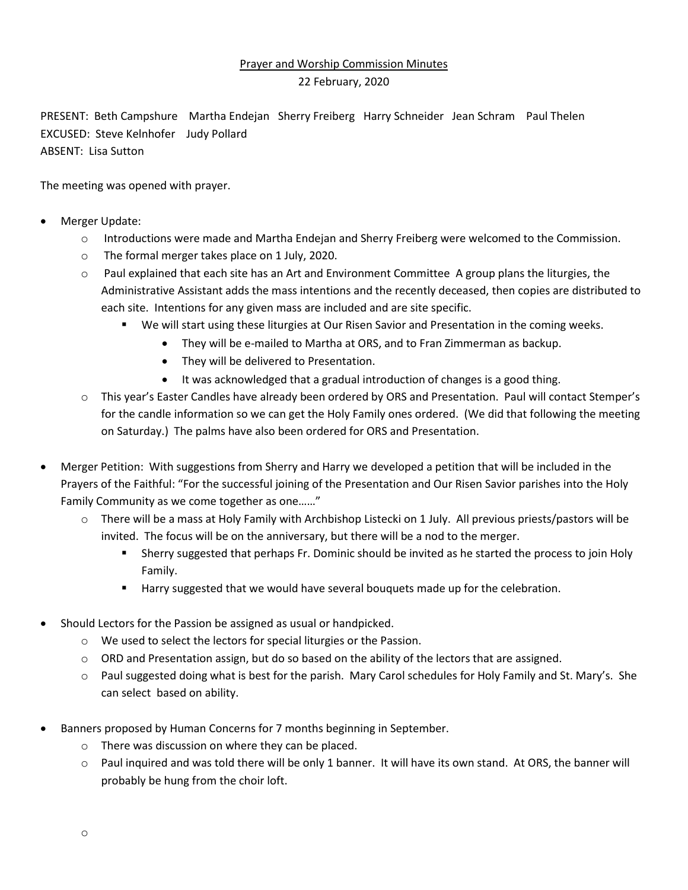## Prayer and Worship Commission Minutes

## 22 February, 2020

PRESENT: Beth Campshure Martha Endejan Sherry Freiberg Harry Schneider Jean Schram Paul Thelen EXCUSED: Steve Kelnhofer Judy Pollard ABSENT: Lisa Sutton

The meeting was opened with prayer.

- Merger Update:
	- o Introductions were made and Martha Endejan and Sherry Freiberg were welcomed to the Commission.
	- o The formal merger takes place on 1 July, 2020.
	- $\circ$  Paul explained that each site has an Art and Environment Committee A group plans the liturgies, the Administrative Assistant adds the mass intentions and the recently deceased, then copies are distributed to each site. Intentions for any given mass are included and are site specific.
		- We will start using these liturgies at Our Risen Savior and Presentation in the coming weeks.
			- They will be e-mailed to Martha at ORS, and to Fran Zimmerman as backup.
			- They will be delivered to Presentation.
			- It was acknowledged that a gradual introduction of changes is a good thing.
	- o This year's Easter Candles have already been ordered by ORS and Presentation. Paul will contact Stemper's for the candle information so we can get the Holy Family ones ordered. (We did that following the meeting on Saturday.) The palms have also been ordered for ORS and Presentation.
- Merger Petition: With suggestions from Sherry and Harry we developed a petition that will be included in the Prayers of the Faithful: "For the successful joining of the Presentation and Our Risen Savior parishes into the Holy Family Community as we come together as one……"
	- o There will be a mass at Holy Family with Archbishop Listecki on 1 July. All previous priests/pastors will be invited. The focus will be on the anniversary, but there will be a nod to the merger.
		- Sherry suggested that perhaps Fr. Dominic should be invited as he started the process to join Holy Family.
		- **Harry suggested that we would have several bouquets made up for the celebration.**
- Should Lectors for the Passion be assigned as usual or handpicked.
	- o We used to select the lectors for special liturgies or the Passion.
	- $\circ$  ORD and Presentation assign, but do so based on the ability of the lectors that are assigned.
	- o Paul suggested doing what is best for the parish. Mary Carol schedules for Holy Family and St. Mary's. She can select based on ability.
- Banners proposed by Human Concerns for 7 months beginning in September.
	- o There was discussion on where they can be placed.
	- o Paul inquired and was told there will be only 1 banner. It will have its own stand. At ORS, the banner will probably be hung from the choir loft.